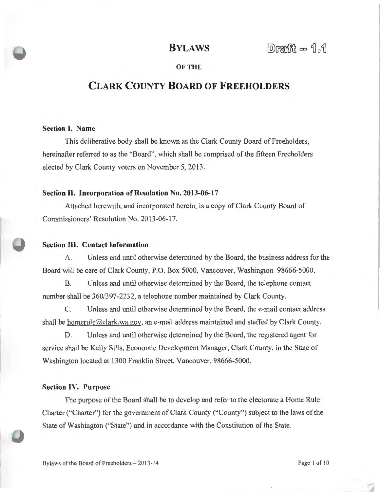## **BYLAWS**

## **OF THE**

# **CLARK COUNTY BOARD OF FREEHOLDERS**

## **Section I. Name**

This deliberative body shall be known as the Clark County Board of Freeholders, hereinafter referred to as the "Board", which shall be comprised of the fifteen Freeholders elected by Clark County voters on November 5, 2013.

#### **Section II. Incorporation of Resolution No. 2013-06-17**

Attached herewith, and incorporated herein, is a copy of Clark County Board of Commissioners' Resolution No. 2013-06-17.

## **Section III. Contact Information**

A. Unless and until otherwise determined by the Board, the business address for the Board will be care of Clark County, P.O. Box 5000, Vancouver, Washington 98666-5000.

B. Unless and until otherwise determined by the Board, the telephone contact number shall be 360/397-2232, a telephone number maintained by Clark County.

C. Unless and until otherwise determined by the Board, the e-mail contact address shall be homerule@clark.wa.gov, an e-mail address maintained and staffed by Clark County.

D. Unless and until otherwise determined by the Board, the registered agent for service shall be Kelly Sills, Economic Development Manager, Clark County, in the State of Washington located at 1300 Franklin Street, Vancouver, 98666-5000.

#### **Section IV. Purpose**

The purpose of the Board shall be to develop and refer to the electorate a Home Rule Charter ("Charter") for the government of Clark County ("County") subject to the laws of the State of Washington ("State") and in accordance with the Constitution of the State.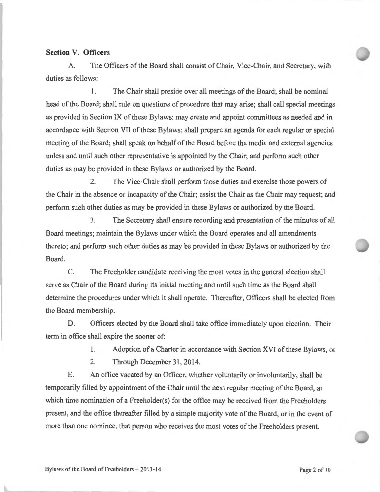## **Section V. Officers**

A. The Officers of the Board shall consist of Chair, Vice-Chair, and Secretary, with duties as follows:

1. The Chair shall preside over all meetings of the Board; shall be nominal head of the Board; shall rule on questions of procedure that may arise; shall call special meetings as provided in Section IX of these Bylaws; may create and appoint committees as needed and in accordance with Section VII of these Bylaws; shall prepare an agenda for each regular or special meeting of the Board; shall speak on behalf of the Board before the media and external agencies unless and until such other representative is appointed by the Chair; and perform such other duties as may be provided in these Bylaws or authorized by the Board.

2. The Vice-Chair shall perform those duties and exercise those powers of the Chair in the absence or incapacity of the Chair; assist the Chair as the Chair may request; and perform such other duties as may be provided in these Bylaws or authorized by the Board.

3. The Secretary shall ensure recording and presentation of the minutes of all Board meetings; maintain the Bylaws under which the Board operates and all amendments thereto; and perform such other duties as may be provided in these Bylaws or authorized by the Board.

C. The Freeholder candidate receiving the most votes in the general election shall serve as Chair of the Board during its initial meeting and until such time as the Board shall determine the procedures under which it shall operate. Thereafter, Officers shall be elected from the Board membership.

D. Officers elected by the Board shall take office immediately upon election. Their term in office shall expire the sooner of:

1. Adoption of a Charter in accordance with Section XVI of these Bylaws, or

2. Through December 31, 2014.

E. An office vacated by an Officer, whether voluntarily or involuntarily, shall be temporarily filled by appointment of the Chair until the next regular meeting of the Board, at which time nomination of a Freeholder(s) for the office may be received from the Freeholders present, and the office thereafter filled by a simple majority vote of the Board, or in the event of more than one nominee, that person who receives the most votes of the Freeholders present.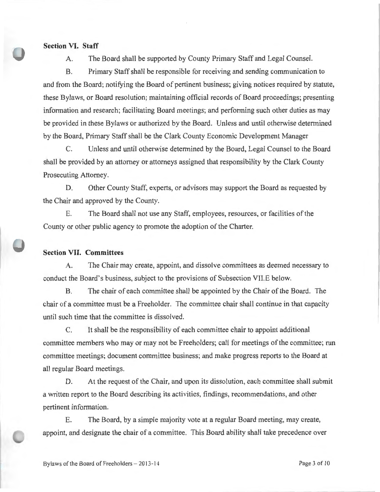#### **Section VI. Staff**

A. The Board shall be supported by County Primary Staff and Legal Counsel.

B. Primary Staff shall be responsible for receiving and sending communication to and from the Board; notifying the Board of pertinent business; giving notices required by statute, these Bylaws, or Board resolution; maintaining official records of Board proceedings; presenting information and research; facilitating Board meetings; and performing such other duties as may be provided in these Bylaws or authorized by the Board. Unless and until otherwise determined by the Board, Primary Staff shall be the Clark County Economic Development Manager

C. Unless and until otherwise determined by the Board, Legal Counsel to the Board shall be provided by an attorney or attorneys assigned that responsibility by the Clark County Prosecuting Attorney.

D. Other County Staff, experts, or advisors may support the Board as requested by the Chair and approved by the County.

E. The Board shall not use any Staff, employees, resources, or facilities of the County or other public agency to promote the adoption of the Charter.

## **Section VII. Committees**

A. The Chair may create, appoint, and dissolve committees as deemed necessary to conduct the Board's business, subject to the provisions of Subsection VILE below.

B. The chair of each committee shall be appointed by the Chair of the Board. The chair of a committee must be a Freeholder. The committee chair shall continue in that capacity until such time that the committee is dissolved.

C. It shall be the responsibility of each committee chair to appoint additional committee members who may or may not be Freeholders; call for meetings of the committee; run committee meetings; document committee business; and make progress reports to the Board at all regular Board meetings.

D. At the request of the Chair, and upon its dissolution, each committee shall submit a written report to the Board describing its activities, findings, recommendations, and other pertinent information.

E. The Board, by a simple majority vote at a regular Board meeting, may create, appoint, and designate the chair of a committee. This Board ability shall take precedence over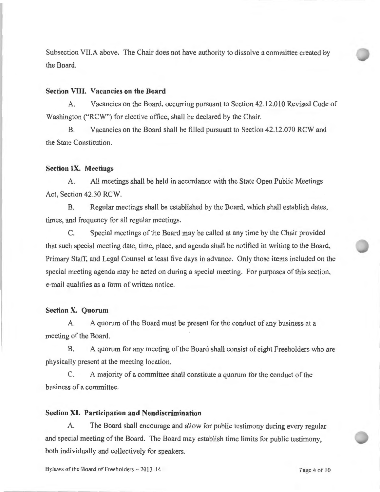Subsection VII.A above. The Chair does not have authority to dissolve a committee created by the Board.

#### **Section VIII. Vacancies on the Board**

A. Vacancies on the Board, occurring pursuant to Section 42.12.010 Revised Code of Washington ("RCW") for elective office, shall be declared by the Chair.

B. Vacancies on the Board shall be filled pursuant to Section 42.12.070 RCW and the State Constitution.

#### **Section IX. Meetings**

A. All meetings shall be held in accordance with the State Open Public Meetings Act, Section 42.30 RCW.

B. Regular meetings shall be established by the Board, which shall establish dates, times, and frequency for all regular meetings.

C. Special meetings of the Board may be called at any time by the Chair provided that such special meeting date, time, place, and agenda shall be notified in writing to the Board, Primary Staff, and Legal Counsel at least five days in advance. Only those items included on the special meeting agenda may be acted on during a special meeting. For purposes of this section, e-mail qualifies as a form of written notice.

## **Section X. Quorum**

A. A quorum of the Board must be present for the conduct of any business at a meeting of the Board.

B. A quorum for any meeting of the Board shall consist of eight Freeholders who are physically present at the meeting location.

C. A majority of a committee shall constitute a quorum for the conduct of the business of a committee.

#### **Section XI. Participation and Nondiscrimination**

A. The Board shall encourage and allow for public testimony during every regular and special meeting of the Board. The Board may establish time limits for public testimony, both individually and collectively for speakers.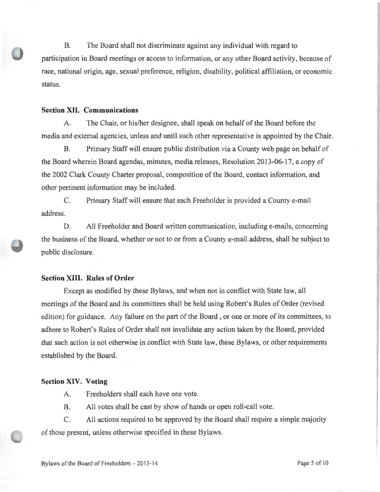B. The Board shall not discriminate against any individual with regard to participation in Board meetings or access to information, or any other Board activity, because of race, national origin, age, sexual preference, religion, disability, political affiliation, or economic status.

## **Section XII. Communications**

A. The Chair, or his/her designee, shall speak on behalf of the Board before the media and external agencies, unless and until such other representative is appointed by the Chair.

B. Primary Staff will ensure public distribution via a County web page on behalf of the Board wherein Board agendas, minutes, media releases, Resolution 2013-06-17, a copy of the 2002 Clark County Charter proposal, composition of the Board, contact information, and other pertinent information may be included.

C. Primary Staff will ensure that each Freeholder is provided a County e-mail address.

D. All Freeholder and Board written communication, including e-mails, concerning the business of the Board, whether or not to or from a County e-mail address, shall be subject to public disclosure.

## **Section XIII. Rules of Order**

Except as modified by these Bylaws, and when not in conflict with State law, all meetings of the Board and its committees shall be held using Robert's Rules of Order (revised edition) for guidance. Any failure on the part of the Board , or one or more of its committees, to adhere to Robert's Rules of Order shall not invalidate any action taken by the Board, provided that such action is not otherwise in conflict with State law, these Bylaws, or other requirements established by the Board.

### **Section XIV. Voting**

- A. Freeholders shall each have one vote.
- B. All votes shall be cast by show of hands or open roll-call vote.

C. All actions required to be approved by the Board shall require a simple majority of those present, unless otherwise specified in these Bylaws.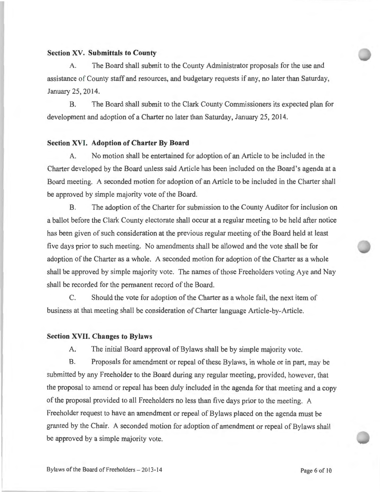### **Section XV. Submittals to County**

A. The Board shall submit to the County Administrator proposals for the use and assistance of County staff and resources, and budgetary requests if any, no later than Saturday, January 25, 2014.

B. The Board shall submit to the Clark County Commissioners its expected plan for development and adoption of a Charter no later than Saturday, January 25, 2014.

#### **Section XVI. Adoption of Charter By Board**

A. No motion shall be entertained for adoption of an Article to be included in the Charter developed by the Board unless said Article has been included on the Board's agenda at a Board meeting. A seconded motion for adoption of an Article to be included in the Charter shall be approved by simple majority vote of the Board.

B. The adoption of the Charter for submission to the County Auditor for inclusion on a ballot before the Clark County electorate shall occur at a regular meeting to be held after notice has been given of such consideration at the previous regular meeting of the Board held at least five days prior to such meeting. No amendments shall be allowed and the vote shall be for adoption of the Charter as a whole. A seconded motion for adoption of the Charter as a whole shall be approved by simple majority vote. The names of those Freeholders voting Aye and Nay shall be recorded for the permanent record of the Board.

C. Should the vote for adoption of the Charter as a whole fail, the next item of business at that meeting shall be consideration of Charter language Article-by-Article.

## **Section XVII. Changes to Bylaws**

A. The initial Board approval of Bylaws shall be by simple majority vote.

B. Proposals for amendment or repeal of these Bylaws, in whole or in part, may be submitted by any Freeholder to the Board during any regular meeting, provided, however, that the proposal to amend or repeal has been duly included in the agenda for that meeting and a copy of the proposal provided to all Freeholders no less than five days prior to the meeting. A Freeholder request to have an amendment or repeal of Bylaws placed on the agenda must be granted by the Chair. A seconded motion for adoption of amendment or repeal of Bylaws shall be approved by a simple majority vote.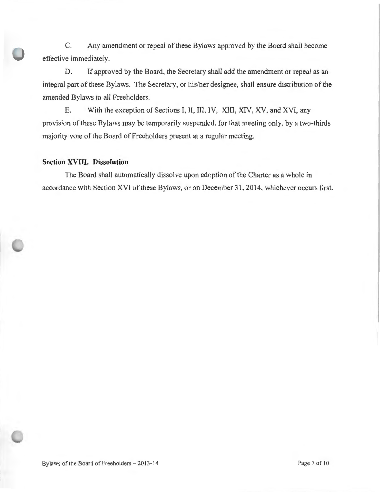C. Any amendment or repeal of these Bylaws approved by the Board shall become effective immediately.

D. If approved by the Board, the Secretary shall add the amendment or repeal as an integral part of these Bylaws. The Secretary, or his/her designee, shall ensure distribution of the amended Bylaws to all Freeholders.

E. With the exception of Sections I, II, III, IV, XIII, XIV, XV, and XVI, any provision of these Bylaws may be temporarily suspended, for that meeting only, by a two-thirds majority vote of the Board of Freeholders present at a regular meeting.

## **Section XVIII. Dissolution**

The Board shall automatically dissolve upon adoption of the Charter as a whole in accordance with Section XVI of these Bylaws, or on December 31, 2014, whichever occurs first.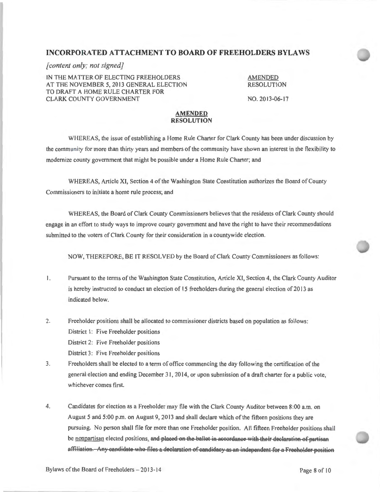### **IN CORPORA TED ATTACHMENT TO BOARD OF FREEHOLDERS BYLAWS**

#### *[content only; not signed}*

IN THE MATTER OF ELECTING FREEHOLDERS AT THE NOVEMBER 5, 2013 GENERAL ELECTION TO DRAFT A HOME RULE CHARTER FOR CLARK COUNTY GOVERNMENT

AMENDED RESOLUTION NO.2013-06-17

#### **AMENDED RESOLUTION**

WHEREAS, the issue of establishing a Home Rule Charter for Clark County has been under discussion by the community for more than thirty years and members of the community have shown an interest in the flexibility to modernize county government that might be possible under a Home Rule Charter; and

WHEREAS, Article XI, Section 4 of the Washington State Constitution authorizes the Board of County Commissioners to initiate a home rule process; and

WHEREAS, the Board of Clark County Commissioners believes that the residents of Clark County should engage in an effort to study ways to improve county government and have the right to have their recommendations submitted to the voters of Clark County for their consideration in a countywide election.

NOW, THEREFORE, BE IT RESOLVED by the Board of Clark County Commissioners as follows:

- I. Pursuant to the terms of the Washington State Constitution, Article XI, Section 4, the Clark County Auditor is hereby instructed to conduct an election of 15 freeholders during the general election of 2013 as indicated below.
- 2. Freeholder positions shall be allocated to commissioner districts based on population as follows: District 1: Five Freeholder positions District 2: Five Freeholder positions District 3: Five Freeholder positions
- 3. Freeholders shall be elected to a term ofoffice commencing the day following the certification of the general election and ending December 3 1, 2014, or upon submission of a draft charter for a public vote, whichever comes first.
- 4. Candidates for election as a Freeholder may file with the Clark County Auditor between 8:00 a.m. on August 5 and 5 :00 p.m. on August 9, 2013 and shall declare which of the fifteen positions they are pursuing. No person shall file for more than one Freeholder position. All fifteen Freeholder positions shall be nonpartisan elected positions, and placed on the ballot in accordance with their declaration of partisan affiliation. Any candidate who files a declaration of candidacy as an independent for a Freeholder position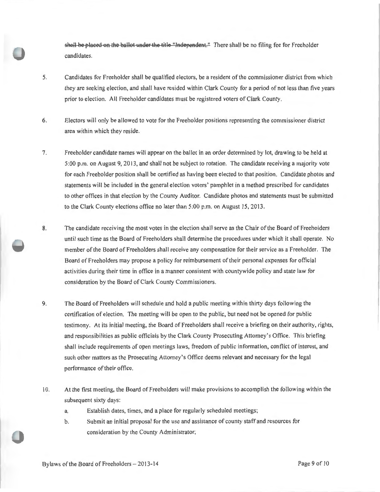shall be placed on the ballot under the title "Independent." There shall be no filing fee for Freeholder candidates.

- 5. Candidates for Freeholder shall be qualified electors, be a resident of the commissioner district from which they are seeking election, and shall have resided within Clark County for a period of not less than five years prior to election. All Freeholder candidates must be registered voters of Clark County.
- 6. Electors will only be allowed to vote for the Freeholder positions representing the commissioner district area within which they reside.
- 7. Freeholder candidate names will appear on the ballot in an order determined by lot, drawing to be held at 5:00 p.m. on August 9, 2013, and shall not be subject to rotation. The candidate receiving a majority vote for each Freeholder position shall be certified as having been elected to that position. Candidate photos and statements will be included in the general election voters' pamphlet in a method prescribed for candidates to other offices in that election by the County Auditor. Candidate photos and statements must be submitted to the Clark County elections office no later than 5:00 p.m. on August 15, 2013 .
- 8. The candidate receiving the most votes in the election shall serve as the Chair of the Board of Freeholders until such time as the Board of Freeholders shall determine the procedures under which it shall operate. No member of the Board of Freeholders shall receive any compensation for their service as a Freeholder. The Board of Freeholders may propose a policy for reimbursement of their personal expenses for official activities during their time in office in a manner consistent with countywide policy and state law for consideration by the Board of Clark County Commissioners.
- 9. The Board of Freeholders will schedule and hold a public meeting within thirty days following the certification of election. The meeting will be open to the public, but need not be opened for public testimony. At its initial meeting, the Board of Freeholders shall receive a briefing on their authority, rights, and responsibilities as public officials by the Clark County Prosecuting Attorney's Office. This briefing shall include requirements of open meetings laws, freedom of public information, conflict of interest, and such other matters as the Prosecuting Attorney's Office deems relevant and necessary for the legal performance of their office.
- I 0. At the first meeting, the Board of Freeholders will make provisions to accomplish the following within the subsequent sixty days:
	- a. Establish dates, times, and a place for regularly scheduled meetings;
	- b. Submit an initial proposal for the use and assistance of county staff and resources for consideration by the County Administrator;